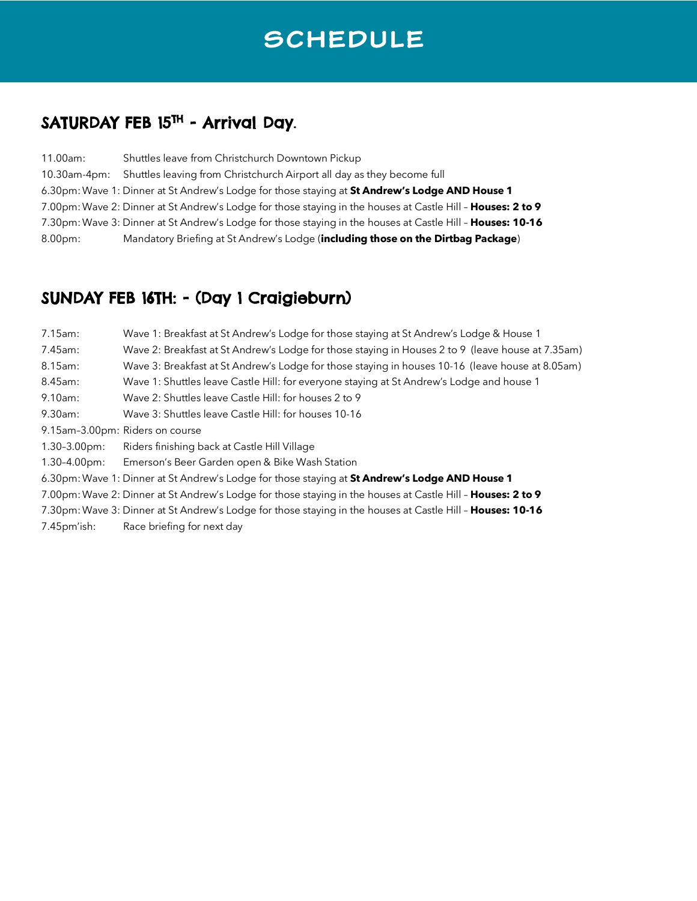# SCHEDULE

# SATURDAY FEB 15<sup>TH</sup> - Arrival Day.

| 11.00am:           | Shuttles leave from Christchurch Downtown Pickup                                                            |
|--------------------|-------------------------------------------------------------------------------------------------------------|
| 10.30am-4pm:       | Shuttles leaving from Christchurch Airport all day as they become full                                      |
|                    | 6.30pm: Wave 1: Dinner at St Andrew's Lodge for those staying at St Andrew's Lodge AND House 1              |
|                    | 7.00pm: Wave 2: Dinner at St Andrew's Lodge for those staying in the houses at Castle Hill - Houses: 2 to 9 |
|                    | 7.30pm: Wave 3: Dinner at St Andrew's Lodge for those staying in the houses at Castle Hill - Houses: 10-16  |
| 8.00 <sub>pm</sub> | Mandatory Briefing at St Andrew's Lodge (including those on the Dirtbag Package)                            |

### SUNDAY FEB 16TH: - (Day 1 Craigieburn)

| 7.15am:                                                                                                     | Wave 1: Breakfast at St Andrew's Lodge for those staying at St Andrew's Lodge & House 1           |  |
|-------------------------------------------------------------------------------------------------------------|---------------------------------------------------------------------------------------------------|--|
| 7.45am:                                                                                                     | Wave 2: Breakfast at St Andrew's Lodge for those staying in Houses 2 to 9 (leave house at 7.35am) |  |
| 8.15am:                                                                                                     | Wave 3: Breakfast at St Andrew's Lodge for those staying in houses 10-16 (leave house at 8.05am)  |  |
| 8.45am:                                                                                                     | Wave 1: Shuttles leave Castle Hill: for everyone staying at St Andrew's Lodge and house 1         |  |
| 9.10am:                                                                                                     | Wave 2: Shuttles leave Castle Hill: for houses 2 to 9                                             |  |
| 9.30am:                                                                                                     | Wave 3: Shuttles leave Castle Hill: for houses 10-16                                              |  |
| 9.15am-3.00pm: Riders on course                                                                             |                                                                                                   |  |
| $1.30 - 3.00$ pm:                                                                                           | Riders finishing back at Castle Hill Village                                                      |  |
| $1.30 - 4.00$ pm:                                                                                           | Emerson's Beer Garden open & Bike Wash Station                                                    |  |
| 6.30pm: Wave 1: Dinner at St Andrew's Lodge for those staying at St Andrew's Lodge AND House 1              |                                                                                                   |  |
| 7.00pm: Wave 2: Dinner at St Andrew's Lodge for those staying in the houses at Castle Hill - Houses: 2 to 9 |                                                                                                   |  |
| 7.30pm: Wave 3: Dinner at St Andrew's Lodge for those staying in the houses at Castle Hill - Houses: 10-16  |                                                                                                   |  |
| $7.45pm$ ish:                                                                                               | Race briefing for next day                                                                        |  |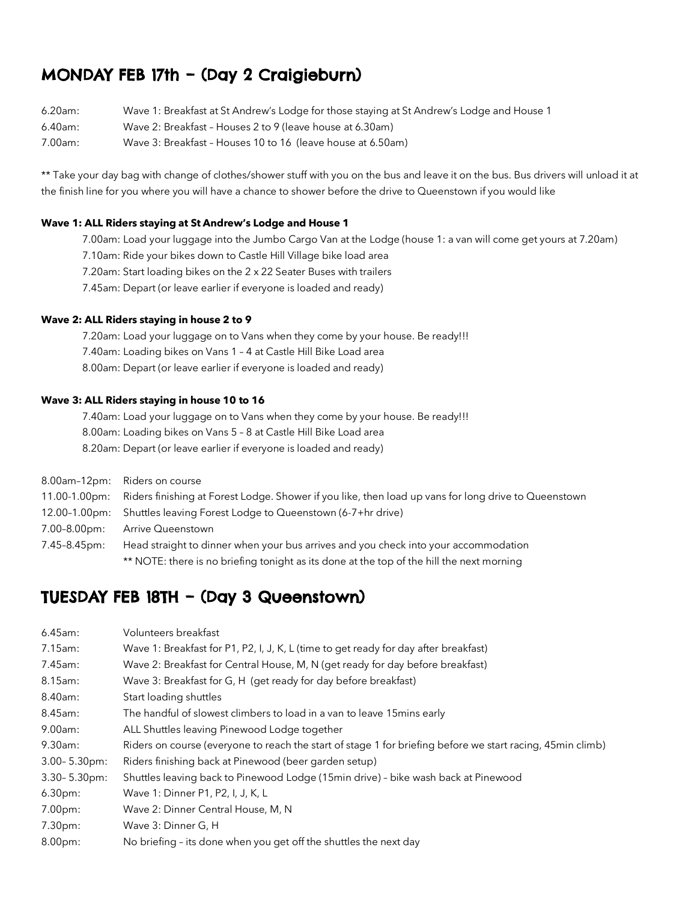### MONDAY FEB 17th – (Day 2 Craigieburn)

- 6.20am: Wave 1: Breakfast at St Andrew's Lodge for those staying at St Andrew's Lodge and House 1
- 6.40am: Wave 2: Breakfast Houses 2 to 9 (leave house at 6.30am)
- 7.00am: Wave 3: Breakfast Houses 10 to 16 (leave house at 6.50am)

\*\* Take your day bag with change of clothes/shower stuff with you on the bus and leave it on the bus. Bus drivers will unload it at the finish line for you where you will have a chance to shower before the drive to Queenstown if you would like

#### **Wave 1: ALL Riders staying at St Andrew's Lodge and House 1**

- 7.00am: Load your luggage into the Jumbo Cargo Van at the Lodge (house 1: a van will come get yours at 7.20am)
- 7.10am: Ride your bikes down to Castle Hill Village bike load area
- 7.20am: Start loading bikes on the 2 x 22 Seater Buses with trailers
- 7.45am: Depart (or leave earlier if everyone is loaded and ready)

#### **Wave 2: ALL Riders staying in house 2 to 9**

- 7.20am: Load your luggage on to Vans when they come by your house. Be ready!!!
- 7.40am: Loading bikes on Vans 1 4 at Castle Hill Bike Load area
- 8.00am: Depart (or leave earlier if everyone is loaded and ready)

#### **Wave 3: ALL Riders staying in house 10 to 16**

- 7.40am: Load your luggage on to Vans when they come by your house. Be ready!!!
- 8.00am: Loading bikes on Vans 5 8 at Castle Hill Bike Load area
- 8.20am: Depart (or leave earlier if everyone is loaded and ready)

|              | 8.00am-12pm: Riders on course                                                                                      |  |
|--------------|--------------------------------------------------------------------------------------------------------------------|--|
|              | 11.00-1.00pm: Riders finishing at Forest Lodge. Shower if you like, then load up vans for long drive to Queenstown |  |
|              | 12.00-1.00pm: Shuttles leaving Forest Lodge to Queenstown (6-7+hr drive)                                           |  |
| 7.00-8.00pm: | <b>Arrive Queenstown</b>                                                                                           |  |
| 7.45-8.45pm: | Head straight to dinner when your bus arrives and you check into your accommodation                                |  |
|              | ** NOTE: there is no briefing tonight as its done at the top of the hill the next morning                          |  |

### TUESDAY FEB 18TH – (Day 3 Queenstown)

| 6.45am:           | Volunteers breakfast                                                                                       |  |
|-------------------|------------------------------------------------------------------------------------------------------------|--|
| $7.15$ am:        | Wave 1: Breakfast for P1, P2, I, J, K, L (time to get ready for day after breakfast)                       |  |
| 7.45am:           | Wave 2: Breakfast for Central House, M, N (get ready for day before breakfast)                             |  |
| 8.15am:           | Wave 3: Breakfast for G, H (get ready for day before breakfast)                                            |  |
| 8.40am:           | Start loading shuttles                                                                                     |  |
| 8.45am:           | The handful of slowest climbers to load in a van to leave 15 mins early                                    |  |
| 9.00am:           | ALL Shuttles leaving Pinewood Lodge together                                                               |  |
| 9.30am:           | Riders on course (everyone to reach the start of stage 1 for briefing before we start racing, 45min climb) |  |
| $3.00 - 5.30$ pm: | Riders finishing back at Pinewood (beer garden setup)                                                      |  |
| 3.30-5.30pm:      | Shuttles leaving back to Pinewood Lodge (15min drive) - bike wash back at Pinewood                         |  |
| $6.30pm$ :        | Wave 1: Dinner P1, P2, I, J, K, L                                                                          |  |
| 7.00pm:           | Wave 2: Dinner Central House, M, N                                                                         |  |
| 7.30pm:           | Wave 3: Dinner G, H                                                                                        |  |
| 8.00pm:           | No briefing - its done when you get off the shuttles the next day                                          |  |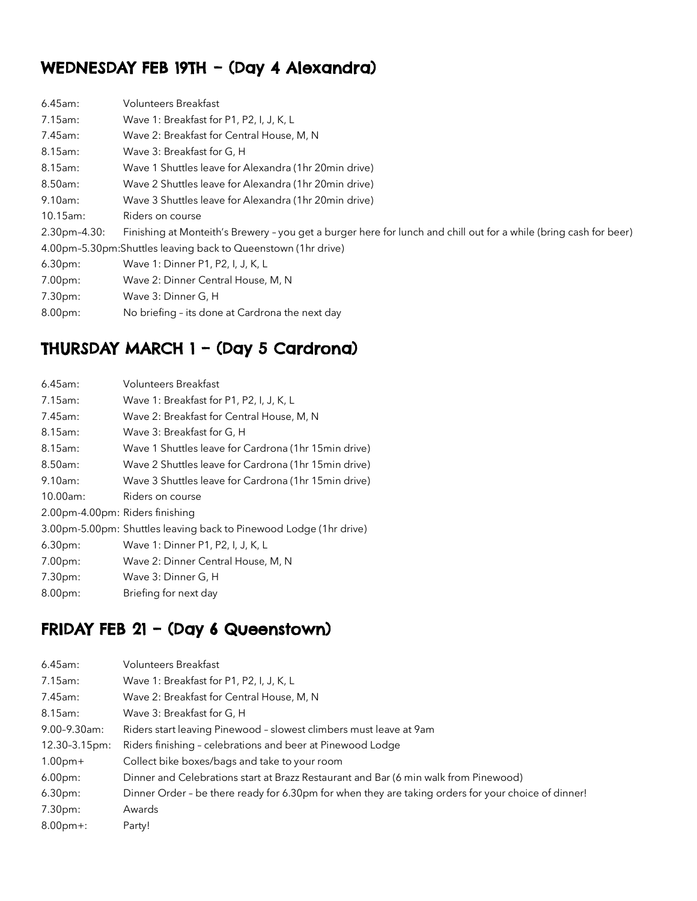## WEDNESDAY FEB 19TH – (Day 4 Alexandra)

| $6.45$ am:                                                    | <b>Volunteers Breakfast</b>                                                                                       |  |
|---------------------------------------------------------------|-------------------------------------------------------------------------------------------------------------------|--|
| 7.15am:                                                       | Wave 1: Breakfast for P1, P2, I, J, K, L                                                                          |  |
| 7.45am:                                                       | Wave 2: Breakfast for Central House, M, N                                                                         |  |
| 8.15am:                                                       | Wave 3: Breakfast for G, H                                                                                        |  |
| 8.15am:                                                       | Wave 1 Shuttles leave for Alexandra (1hr 20min drive)                                                             |  |
| 8.50am:                                                       | Wave 2 Shuttles leave for Alexandra (1hr 20min drive)                                                             |  |
| 9.10am:                                                       | Wave 3 Shuttles leave for Alexandra (1hr 20min drive)                                                             |  |
| $10.15$ am:                                                   | Riders on course                                                                                                  |  |
| $2.30pm-4.30$                                                 | Finishing at Monteith's Brewery - you get a burger here for lunch and chill out for a while (bring cash for beer) |  |
| 4.00pm-5.30pm:Shuttles leaving back to Queenstown (1hr drive) |                                                                                                                   |  |
| 6.30pm:                                                       | Wave 1: Dinner P1, P2, I, J, K, L                                                                                 |  |
| $7.00pm$ :                                                    | Wave 2: Dinner Central House, M, N                                                                                |  |
| $7.30pm$ :                                                    | Wave 3: Dinner G, H                                                                                               |  |
| $8.00pm$ :                                                    | No briefing - its done at Cardrona the next day                                                                   |  |

### THURSDAY MARCH 1 – (Day 5 Cardrona)

| $6.45$ am:                      | <b>Volunteers Breakfast</b>                                        |
|---------------------------------|--------------------------------------------------------------------|
| $7.15$ am:                      | Wave 1: Breakfast for P1, P2, I, J, K, L                           |
| 7.45am:                         | Wave 2: Breakfast for Central House, M, N                          |
| 8.15am:                         | Wave 3: Breakfast for G, H                                         |
| 8.15am:                         | Wave 1 Shuttles leave for Cardrona (1hr 15min drive)               |
| $8.50$ am:                      | Wave 2 Shuttles leave for Cardrona (1hr 15min drive)               |
| 9.10am:                         | Wave 3 Shuttles leave for Cardrona (1hr 15min drive)               |
| 10.00am:                        | Riders on course                                                   |
| 2.00pm-4.00pm: Riders finishing |                                                                    |
|                                 | 3.00pm-5.00pm: Shuttles leaving back to Pinewood Lodge (1hr drive) |
| 6.30pm:                         | Wave 1: Dinner P1, P2, I, J, K, L                                  |
| 7.00pm:                         | Wave 2: Dinner Central House, M, N                                 |
| 7.30pm:                         | Wave 3: Dinner G, H                                                |
| 8.00pm:                         | Briefing for next day                                              |

### FRIDAY FEB 21 - (Day 6 Queenstown)

| <b>Volunteers Breakfast</b>                                                                         |  |
|-----------------------------------------------------------------------------------------------------|--|
| Wave 1: Breakfast for P1, P2, I, J, K, L                                                            |  |
| Wave 2: Breakfast for Central House, M, N                                                           |  |
| Wave 3: Breakfast for G, H                                                                          |  |
| Riders start leaving Pinewood - slowest climbers must leave at 9am                                  |  |
| Riders finishing - celebrations and beer at Pinewood Lodge                                          |  |
| Collect bike boxes/bags and take to your room                                                       |  |
| Dinner and Celebrations start at Brazz Restaurant and Bar (6 min walk from Pinewood)                |  |
| Dinner Order - be there ready for 6.30pm for when they are taking orders for your choice of dinner! |  |
| Awards                                                                                              |  |
| Party!                                                                                              |  |
|                                                                                                     |  |